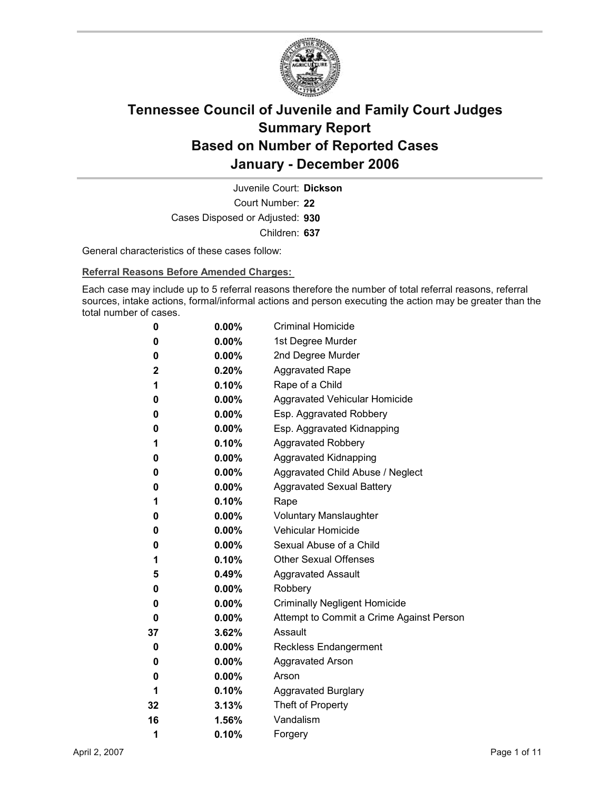

Court Number: **22** Juvenile Court: **Dickson** Cases Disposed or Adjusted: **930** Children: **637**

General characteristics of these cases follow:

**Referral Reasons Before Amended Charges:** 

Each case may include up to 5 referral reasons therefore the number of total referral reasons, referral sources, intake actions, formal/informal actions and person executing the action may be greater than the total number of cases.

| 0  | $0.00\%$ | <b>Criminal Homicide</b>                 |
|----|----------|------------------------------------------|
| 0  | $0.00\%$ | 1st Degree Murder                        |
| 0  | $0.00\%$ | 2nd Degree Murder                        |
| 2  | 0.20%    | <b>Aggravated Rape</b>                   |
| 1  | 0.10%    | Rape of a Child                          |
| 0  | $0.00\%$ | Aggravated Vehicular Homicide            |
| 0  | $0.00\%$ | Esp. Aggravated Robbery                  |
| 0  | $0.00\%$ | Esp. Aggravated Kidnapping               |
| 1  | $0.10\%$ | <b>Aggravated Robbery</b>                |
| 0  | $0.00\%$ | <b>Aggravated Kidnapping</b>             |
| 0  | $0.00\%$ | Aggravated Child Abuse / Neglect         |
| 0  | $0.00\%$ | <b>Aggravated Sexual Battery</b>         |
| 1  | 0.10%    | Rape                                     |
| 0  | $0.00\%$ | <b>Voluntary Manslaughter</b>            |
| 0  | $0.00\%$ | <b>Vehicular Homicide</b>                |
| 0  | $0.00\%$ | Sexual Abuse of a Child                  |
| 1  | 0.10%    | <b>Other Sexual Offenses</b>             |
| 5  | 0.49%    | <b>Aggravated Assault</b>                |
| 0  | $0.00\%$ | Robbery                                  |
| 0  | $0.00\%$ | <b>Criminally Negligent Homicide</b>     |
| 0  | $0.00\%$ | Attempt to Commit a Crime Against Person |
| 37 | 3.62%    | Assault                                  |
| 0  | $0.00\%$ | <b>Reckless Endangerment</b>             |
| 0  | $0.00\%$ | <b>Aggravated Arson</b>                  |
| 0  | $0.00\%$ | Arson                                    |
| 1  | 0.10%    | <b>Aggravated Burglary</b>               |
| 32 | $3.13\%$ | Theft of Property                        |
| 16 | 1.56%    | Vandalism                                |
| 1  | 0.10%    | Forgery                                  |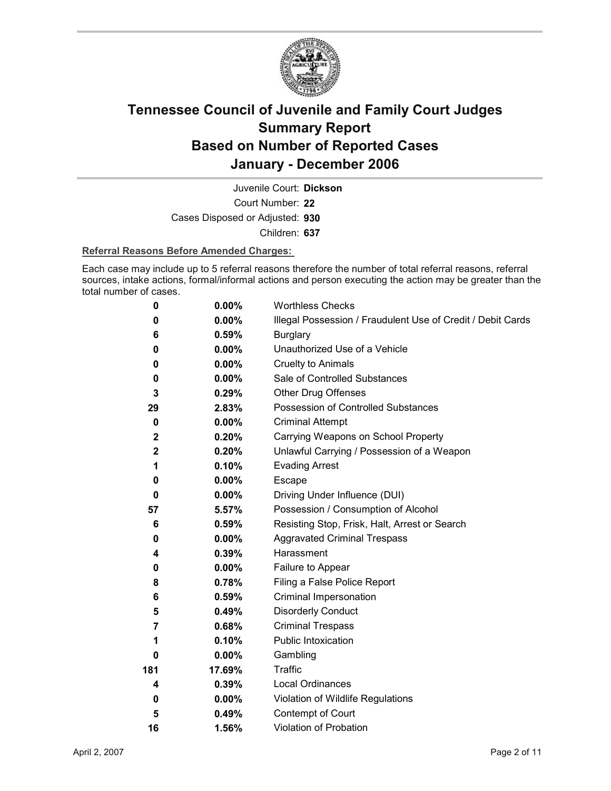

Court Number: **22** Juvenile Court: **Dickson** Cases Disposed or Adjusted: **930** Children: **637**

#### **Referral Reasons Before Amended Charges:**

Each case may include up to 5 referral reasons therefore the number of total referral reasons, referral sources, intake actions, formal/informal actions and person executing the action may be greater than the total number of cases.

| 0            | 0.00%    | <b>Worthless Checks</b>                                     |
|--------------|----------|-------------------------------------------------------------|
| 0            | 0.00%    | Illegal Possession / Fraudulent Use of Credit / Debit Cards |
| 6            | 0.59%    | <b>Burglary</b>                                             |
| 0            | $0.00\%$ | Unauthorized Use of a Vehicle                               |
| 0            | $0.00\%$ | <b>Cruelty to Animals</b>                                   |
| 0            | $0.00\%$ | Sale of Controlled Substances                               |
| 3            | 0.29%    | <b>Other Drug Offenses</b>                                  |
| 29           | 2.83%    | Possession of Controlled Substances                         |
| 0            | $0.00\%$ | <b>Criminal Attempt</b>                                     |
| $\mathbf{2}$ | 0.20%    | Carrying Weapons on School Property                         |
| $\mathbf 2$  | 0.20%    | Unlawful Carrying / Possession of a Weapon                  |
| 1            | 0.10%    | <b>Evading Arrest</b>                                       |
| 0            | $0.00\%$ | Escape                                                      |
| $\bf{0}$     | $0.00\%$ | Driving Under Influence (DUI)                               |
| 57           | 5.57%    | Possession / Consumption of Alcohol                         |
| 6            | 0.59%    | Resisting Stop, Frisk, Halt, Arrest or Search               |
| 0            | $0.00\%$ | <b>Aggravated Criminal Trespass</b>                         |
| 4            | 0.39%    | Harassment                                                  |
| 0            | $0.00\%$ | Failure to Appear                                           |
| 8            | 0.78%    | Filing a False Police Report                                |
| 6            | 0.59%    | Criminal Impersonation                                      |
| 5            | 0.49%    | <b>Disorderly Conduct</b>                                   |
| 7            | 0.68%    | <b>Criminal Trespass</b>                                    |
| 1            | 0.10%    | Public Intoxication                                         |
| 0            | $0.00\%$ | Gambling                                                    |
| 181          | 17.69%   | <b>Traffic</b>                                              |
| 4            | 0.39%    | <b>Local Ordinances</b>                                     |
| 0            | $0.00\%$ | Violation of Wildlife Regulations                           |
| 5            | 0.49%    | Contempt of Court                                           |
| 16           | 1.56%    | Violation of Probation                                      |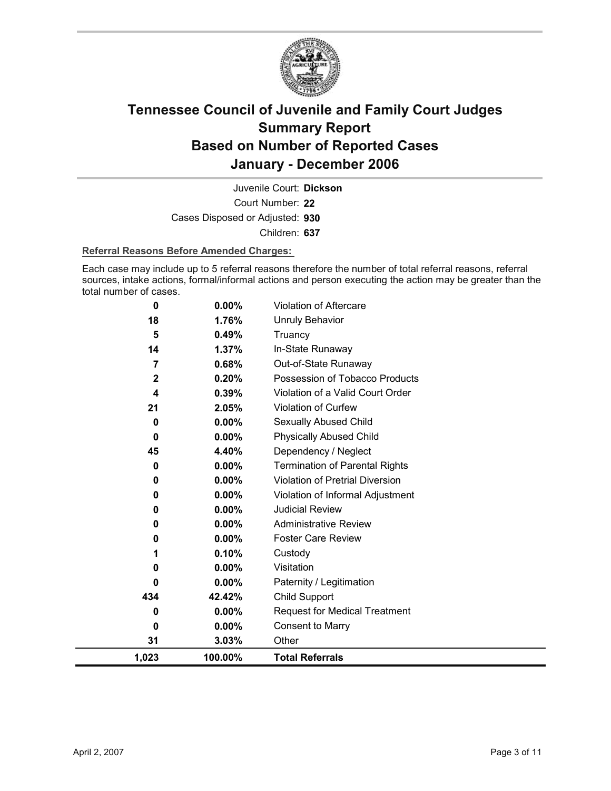

Court Number: **22** Juvenile Court: **Dickson** Cases Disposed or Adjusted: **930** Children: **637**

#### **Referral Reasons Before Amended Charges:**

Each case may include up to 5 referral reasons therefore the number of total referral reasons, referral sources, intake actions, formal/informal actions and person executing the action may be greater than the total number of cases.

| 0           | 0.00%    | <b>Violation of Aftercare</b>          |
|-------------|----------|----------------------------------------|
| 18          | 1.76%    | <b>Unruly Behavior</b>                 |
| 5           | 0.49%    | Truancy                                |
| 14          | 1.37%    | In-State Runaway                       |
| 7           | 0.68%    | Out-of-State Runaway                   |
| $\mathbf 2$ | 0.20%    | Possession of Tobacco Products         |
| 4           | 0.39%    | Violation of a Valid Court Order       |
| 21          | 2.05%    | <b>Violation of Curfew</b>             |
| 0           | 0.00%    | Sexually Abused Child                  |
| 0           | $0.00\%$ | <b>Physically Abused Child</b>         |
| 45          | 4.40%    | Dependency / Neglect                   |
| 0           | 0.00%    | <b>Termination of Parental Rights</b>  |
| 0           | 0.00%    | <b>Violation of Pretrial Diversion</b> |
| 0           | 0.00%    | Violation of Informal Adjustment       |
| 0           | 0.00%    | <b>Judicial Review</b>                 |
| 0           | 0.00%    | <b>Administrative Review</b>           |
| 0           | $0.00\%$ | <b>Foster Care Review</b>              |
| 1           | 0.10%    | Custody                                |
| 0           | 0.00%    | Visitation                             |
| 0           | 0.00%    | Paternity / Legitimation               |
| 434         | 42.42%   | Child Support                          |
| 0           | $0.00\%$ | <b>Request for Medical Treatment</b>   |
| 0           | 0.00%    | <b>Consent to Marry</b>                |
| 31          | 3.03%    | Other                                  |
| 1,023       | 100.00%  | <b>Total Referrals</b>                 |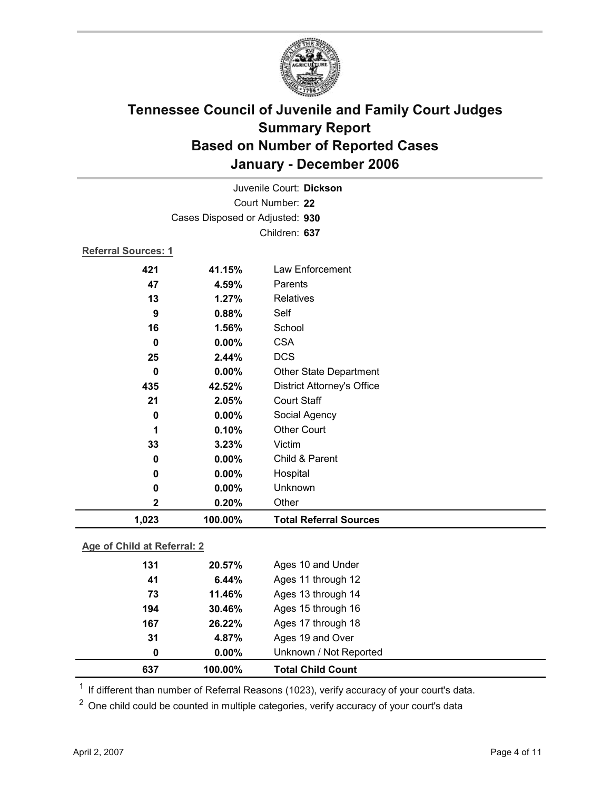

| 1,023               | 100.00%                         | <b>Total Referral Sources</b>     |  |  |
|---------------------|---------------------------------|-----------------------------------|--|--|
| 2                   | 0.20%                           | Other                             |  |  |
| 0                   | 0.00%                           | Unknown                           |  |  |
| 0                   | 0.00%                           | Hospital                          |  |  |
| $\bf{0}$            | 0.00%                           | Child & Parent                    |  |  |
| 33                  | 3.23%                           | Victim                            |  |  |
| 1                   | 0.10%                           | <b>Other Court</b>                |  |  |
| $\bf{0}$            | 0.00%                           | Social Agency                     |  |  |
| 21                  | 2.05%                           | <b>Court Staff</b>                |  |  |
| 435                 | 42.52%                          | <b>District Attorney's Office</b> |  |  |
| $\bf{0}$            | 0.00%                           | <b>Other State Department</b>     |  |  |
| 25                  | 2.44%                           | <b>DCS</b>                        |  |  |
| 0                   | 0.00%                           | <b>CSA</b>                        |  |  |
| 16                  | 1.56%                           | School                            |  |  |
| 9                   | 0.88%                           | Self                              |  |  |
| 13                  | 1.27%                           | <b>Relatives</b>                  |  |  |
| 47                  | 4.59%                           | Parents                           |  |  |
| 421                 | 41.15%                          | Law Enforcement                   |  |  |
| Referral Sources: 1 |                                 |                                   |  |  |
|                     |                                 | Children: 637                     |  |  |
|                     | Cases Disposed or Adjusted: 930 |                                   |  |  |
|                     |                                 |                                   |  |  |
|                     | Court Number: 22                |                                   |  |  |
|                     |                                 | Juvenile Court: Dickson           |  |  |

### **Age of Child at Referral: 2**

| 0   | $0.00\%$ | Unknown / Not Reported |  |
|-----|----------|------------------------|--|
| 31  | 4.87%    | Ages 19 and Over       |  |
| 167 | 26.22%   | Ages 17 through 18     |  |
| 194 | 30.46%   | Ages 15 through 16     |  |
| 73  | 11.46%   | Ages 13 through 14     |  |
| 41  | 6.44%    | Ages 11 through 12     |  |
| 131 | 20.57%   | Ages 10 and Under      |  |
|     |          |                        |  |

 $1$  If different than number of Referral Reasons (1023), verify accuracy of your court's data.

<sup>2</sup> One child could be counted in multiple categories, verify accuracy of your court's data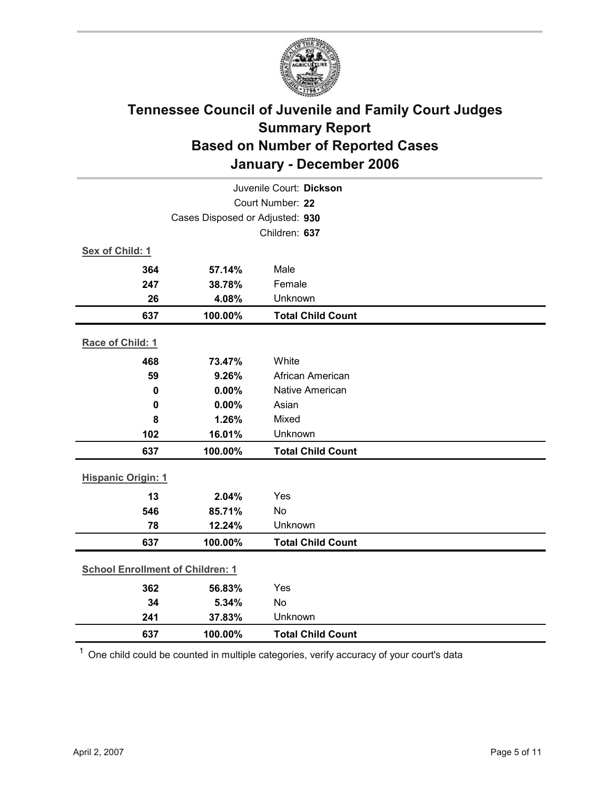

|                                         | Juvenile Court: Dickson         |                          |  |  |
|-----------------------------------------|---------------------------------|--------------------------|--|--|
| Court Number: 22                        |                                 |                          |  |  |
|                                         | Cases Disposed or Adjusted: 930 |                          |  |  |
|                                         |                                 | Children: 637            |  |  |
| Sex of Child: 1                         |                                 |                          |  |  |
| 364                                     | 57.14%                          | Male                     |  |  |
| 247                                     | 38.78%                          | Female                   |  |  |
| 26                                      | 4.08%                           | Unknown                  |  |  |
| 637                                     | 100.00%                         | <b>Total Child Count</b> |  |  |
| Race of Child: 1                        |                                 |                          |  |  |
| 468                                     | 73.47%                          | White                    |  |  |
| 59                                      | 9.26%                           | African American         |  |  |
| $\mathbf 0$                             | 0.00%                           | Native American          |  |  |
| $\mathbf 0$                             | 0.00%                           | Asian                    |  |  |
| 8                                       | 1.26%                           | Mixed                    |  |  |
| 102                                     | 16.01%                          | Unknown                  |  |  |
| 637                                     | 100.00%                         | <b>Total Child Count</b> |  |  |
| <b>Hispanic Origin: 1</b>               |                                 |                          |  |  |
| 13                                      | 2.04%                           | Yes                      |  |  |
| 546                                     | 85.71%                          | No                       |  |  |
| 78                                      | 12.24%                          | Unknown                  |  |  |
| 637                                     | 100.00%                         | <b>Total Child Count</b> |  |  |
| <b>School Enrollment of Children: 1</b> |                                 |                          |  |  |
| 362                                     | 56.83%                          | Yes                      |  |  |
| 34                                      | 5.34%                           | No                       |  |  |
| 241                                     | 37.83%                          | Unknown                  |  |  |
| 637                                     | 100.00%                         | <b>Total Child Count</b> |  |  |

 $1$  One child could be counted in multiple categories, verify accuracy of your court's data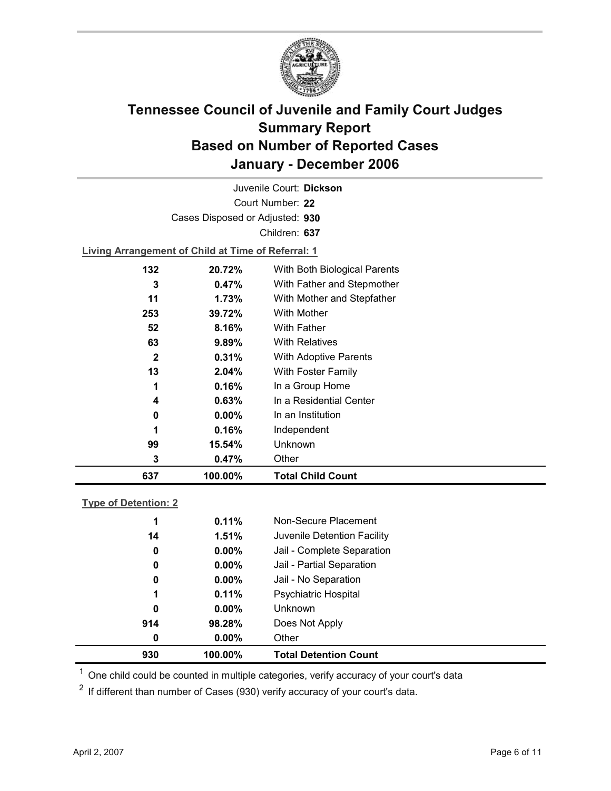

Court Number: **22** Juvenile Court: **Dickson** Cases Disposed or Adjusted: **930** Children: **637**

**Living Arrangement of Child at Time of Referral: 1**

| 637          | 100.00%  | <b>Total Child Count</b>     |
|--------------|----------|------------------------------|
| 3            | 0.47%    | Other                        |
| 99           | 15.54%   | Unknown                      |
| 1            | 0.16%    | Independent                  |
| 0            | $0.00\%$ | In an Institution            |
| 4            | 0.63%    | In a Residential Center      |
| 1            | 0.16%    | In a Group Home              |
| 13           | 2.04%    | With Foster Family           |
| $\mathbf{2}$ | 0.31%    | <b>With Adoptive Parents</b> |
| 63           | 9.89%    | <b>With Relatives</b>        |
| 52           | 8.16%    | <b>With Father</b>           |
| 253          | 39.72%   | <b>With Mother</b>           |
| 11           | 1.73%    | With Mother and Stepfather   |
| 3            | $0.47\%$ | With Father and Stepmother   |
| 132          | 20.72%   | With Both Biological Parents |
|              |          |                              |

### **Type of Detention: 2**

| 930 | 100.00%  | <b>Total Detention Count</b> |
|-----|----------|------------------------------|
| 0   | $0.00\%$ | Other                        |
| 914 | 98.28%   | Does Not Apply               |
| 0   | $0.00\%$ | <b>Unknown</b>               |
| 1   | 0.11%    | <b>Psychiatric Hospital</b>  |
| 0   | $0.00\%$ | Jail - No Separation         |
| 0   | $0.00\%$ | Jail - Partial Separation    |
| 0   | $0.00\%$ | Jail - Complete Separation   |
| 14  | 1.51%    | Juvenile Detention Facility  |
| 1   | 0.11%    | Non-Secure Placement         |
|     |          |                              |

 $<sup>1</sup>$  One child could be counted in multiple categories, verify accuracy of your court's data</sup>

 $2$  If different than number of Cases (930) verify accuracy of your court's data.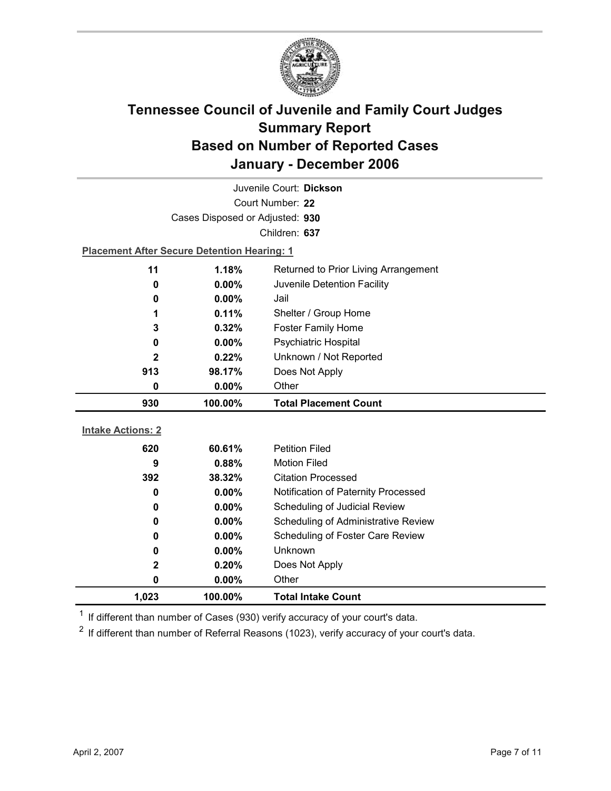

| Juvenile Court: Dickson  |                                                    |                                      |  |  |
|--------------------------|----------------------------------------------------|--------------------------------------|--|--|
| Court Number: 22         |                                                    |                                      |  |  |
|                          | Cases Disposed or Adjusted: 930                    |                                      |  |  |
|                          |                                                    | Children: 637                        |  |  |
|                          | <b>Placement After Secure Detention Hearing: 1</b> |                                      |  |  |
| 11                       | 1.18%                                              | Returned to Prior Living Arrangement |  |  |
| 0                        | 0.00%                                              | Juvenile Detention Facility          |  |  |
| 0                        | $0.00\%$                                           | Jail                                 |  |  |
| 1                        | 0.11%                                              | Shelter / Group Home                 |  |  |
| 3                        | 0.32%                                              | <b>Foster Family Home</b>            |  |  |
| 0                        | 0.00%                                              | Psychiatric Hospital                 |  |  |
| $\mathbf{2}$             | 0.22%                                              | Unknown / Not Reported               |  |  |
| 913                      | 98.17%                                             | Does Not Apply                       |  |  |
| 0                        | 0.00%                                              | Other                                |  |  |
| 930                      | 100.00%                                            | <b>Total Placement Count</b>         |  |  |
|                          |                                                    |                                      |  |  |
|                          |                                                    |                                      |  |  |
| <b>Intake Actions: 2</b> |                                                    |                                      |  |  |
| 620                      | 60.61%                                             | <b>Petition Filed</b>                |  |  |
| 9                        | 0.88%                                              | <b>Motion Filed</b>                  |  |  |
| 392                      | 38.32%                                             | <b>Citation Processed</b>            |  |  |
| 0                        | $0.00\%$                                           | Notification of Paternity Processed  |  |  |
| 0                        | 0.00%                                              | Scheduling of Judicial Review        |  |  |
| 0                        | $0.00\%$                                           | Scheduling of Administrative Review  |  |  |
| 0                        | 0.00%                                              | Scheduling of Foster Care Review     |  |  |
| 0                        | 0.00%                                              | <b>Unknown</b>                       |  |  |
| $\mathbf 2$              | 0.20%                                              | Does Not Apply                       |  |  |
| 0<br>1,023               | 0.00%<br>100.00%                                   | Other<br><b>Total Intake Count</b>   |  |  |

 $1$  If different than number of Cases (930) verify accuracy of your court's data.

 $2$  If different than number of Referral Reasons (1023), verify accuracy of your court's data.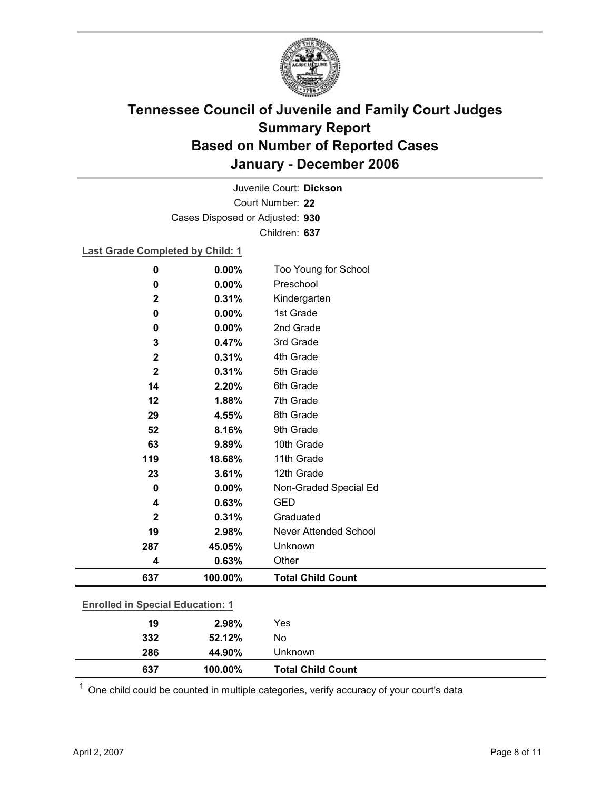

Court Number: **22** Juvenile Court: **Dickson** Cases Disposed or Adjusted: **930** Children: **637**

### **Last Grade Completed by Child: 1**

| $\mathbf 0$  | 0.00%                                   | Too Young for School         |  |  |
|--------------|-----------------------------------------|------------------------------|--|--|
| $\bf{0}$     | 0.00%                                   | Preschool                    |  |  |
| $\mathbf 2$  | 0.31%                                   | Kindergarten                 |  |  |
| 0            | 0.00%                                   | 1st Grade                    |  |  |
| 0            | 0.00%                                   | 2nd Grade                    |  |  |
| 3            | 0.47%                                   | 3rd Grade                    |  |  |
| $\mathbf 2$  | 0.31%                                   | 4th Grade                    |  |  |
| $\mathbf{2}$ | 0.31%                                   | 5th Grade                    |  |  |
| 14           | 2.20%                                   | 6th Grade                    |  |  |
| 12           | 1.88%                                   | 7th Grade                    |  |  |
| 29           | 4.55%                                   | 8th Grade                    |  |  |
| 52           | 8.16%                                   | 9th Grade                    |  |  |
| 63           | 9.89%                                   | 10th Grade                   |  |  |
| 119          | 18.68%                                  | 11th Grade                   |  |  |
| 23           | 3.61%                                   | 12th Grade                   |  |  |
| $\mathbf 0$  | 0.00%                                   | Non-Graded Special Ed        |  |  |
| 4            | 0.63%                                   | <b>GED</b>                   |  |  |
| $\mathbf{2}$ | 0.31%                                   | Graduated                    |  |  |
| 19           | 2.98%                                   | <b>Never Attended School</b> |  |  |
| 287          | 45.05%                                  | Unknown                      |  |  |
| 4            | 0.63%                                   | Other                        |  |  |
| 637          | 100.00%                                 | <b>Total Child Count</b>     |  |  |
|              | <b>Enrolled in Special Education: 1</b> |                              |  |  |
| 19           | 2.98%                                   | Yes                          |  |  |
| 332          | 52.12%                                  | No                           |  |  |
|              |                                         |                              |  |  |

 $1$  One child could be counted in multiple categories, verify accuracy of your court's data

**286 44.90%** Unknown

**637 100.00% Total Child Count**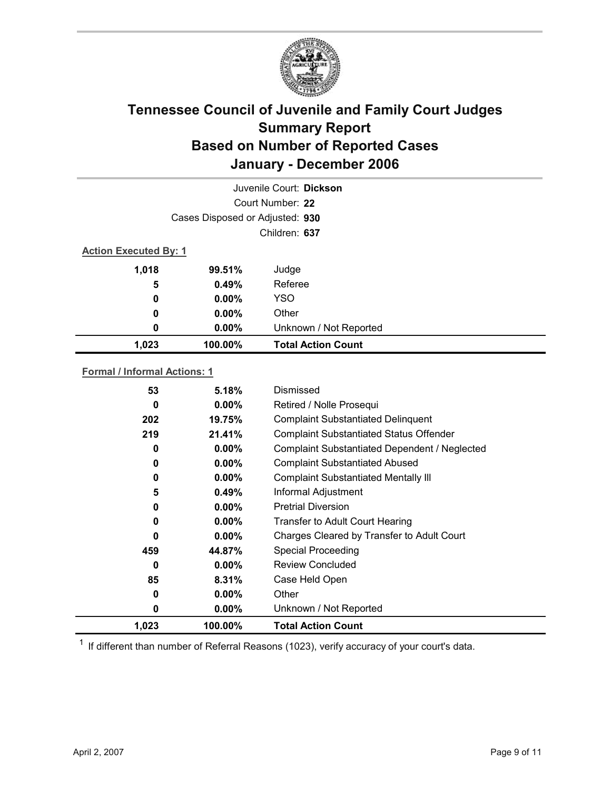

| Juvenile Court: Dickson      |                                 |                           |  |  |
|------------------------------|---------------------------------|---------------------------|--|--|
|                              | Court Number: 22                |                           |  |  |
|                              | Cases Disposed or Adjusted: 930 |                           |  |  |
|                              | Children: 637                   |                           |  |  |
| <b>Action Executed By: 1</b> |                                 |                           |  |  |
| 1,018                        | 99.51%                          | Judge                     |  |  |
| 5                            | 0.49%                           | Referee                   |  |  |
| 0                            | $0.00\%$                        | <b>YSO</b>                |  |  |
| 0                            | $0.00\%$                        | Other                     |  |  |
| 0                            | $0.00\%$                        | Unknown / Not Reported    |  |  |
| 1,023                        | 100.00%                         | <b>Total Action Count</b> |  |  |

### **Formal / Informal Actions: 1**

| 53    | 5.18%    | Dismissed                                      |
|-------|----------|------------------------------------------------|
| 0     | $0.00\%$ | Retired / Nolle Prosequi                       |
| 202   | 19.75%   | <b>Complaint Substantiated Delinquent</b>      |
| 219   | 21.41%   | <b>Complaint Substantiated Status Offender</b> |
| 0     | $0.00\%$ | Complaint Substantiated Dependent / Neglected  |
| 0     | $0.00\%$ | <b>Complaint Substantiated Abused</b>          |
| 0     | $0.00\%$ | <b>Complaint Substantiated Mentally III</b>    |
| 5     | 0.49%    | Informal Adjustment                            |
| 0     | $0.00\%$ | <b>Pretrial Diversion</b>                      |
| 0     | $0.00\%$ | <b>Transfer to Adult Court Hearing</b>         |
| 0     | $0.00\%$ | Charges Cleared by Transfer to Adult Court     |
| 459   | 44.87%   | <b>Special Proceeding</b>                      |
| 0     | $0.00\%$ | <b>Review Concluded</b>                        |
| 85    | 8.31%    | Case Held Open                                 |
| 0     | $0.00\%$ | Other                                          |
| 0     | $0.00\%$ | Unknown / Not Reported                         |
| 1,023 | 100.00%  | <b>Total Action Count</b>                      |

 $1$  If different than number of Referral Reasons (1023), verify accuracy of your court's data.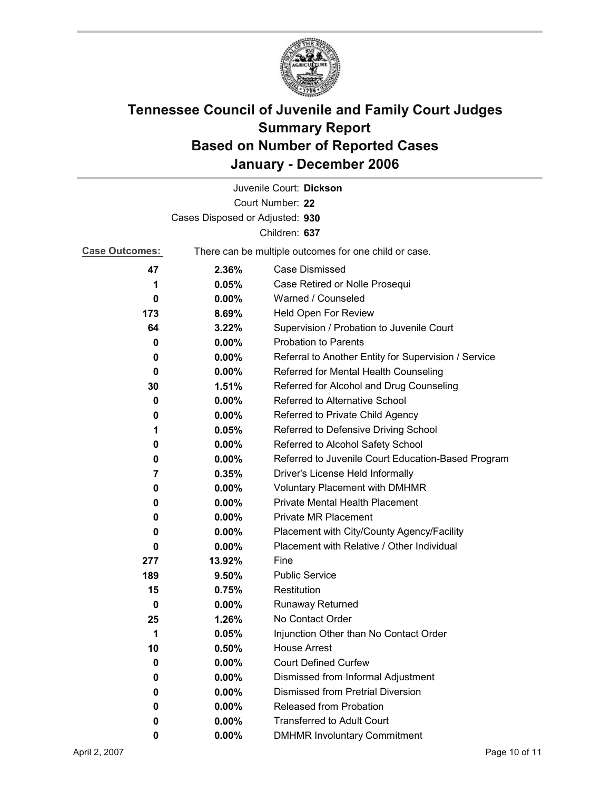

|                                 |          | Juvenile Court: Dickson                               |
|---------------------------------|----------|-------------------------------------------------------|
|                                 |          | Court Number: 22                                      |
| Cases Disposed or Adjusted: 930 |          |                                                       |
|                                 |          | Children: 637                                         |
| <b>Case Outcomes:</b>           |          | There can be multiple outcomes for one child or case. |
| 47                              | 2.36%    | Case Dismissed                                        |
| 1                               | 0.05%    | Case Retired or Nolle Prosequi                        |
| 0                               | $0.00\%$ | Warned / Counseled                                    |
| 173                             | 8.69%    | Held Open For Review                                  |
| 64                              | 3.22%    | Supervision / Probation to Juvenile Court             |
| 0                               | $0.00\%$ | <b>Probation to Parents</b>                           |
| 0                               | $0.00\%$ | Referral to Another Entity for Supervision / Service  |
| 0                               | $0.00\%$ | Referred for Mental Health Counseling                 |
| 30                              | 1.51%    | Referred for Alcohol and Drug Counseling              |
| 0                               | $0.00\%$ | Referred to Alternative School                        |
| 0                               | $0.00\%$ | Referred to Private Child Agency                      |
| 1                               | 0.05%    | Referred to Defensive Driving School                  |
| 0                               | $0.00\%$ | Referred to Alcohol Safety School                     |
| 0                               | $0.00\%$ | Referred to Juvenile Court Education-Based Program    |
| 7                               | 0.35%    | Driver's License Held Informally                      |
| 0                               | $0.00\%$ | <b>Voluntary Placement with DMHMR</b>                 |
| 0                               | $0.00\%$ | <b>Private Mental Health Placement</b>                |
| 0                               | $0.00\%$ | <b>Private MR Placement</b>                           |
| 0                               | $0.00\%$ | Placement with City/County Agency/Facility            |
| 0                               | $0.00\%$ | Placement with Relative / Other Individual            |
| 277                             | 13.92%   | Fine                                                  |
| 189                             | 9.50%    | <b>Public Service</b>                                 |
| 15                              | 0.75%    | Restitution                                           |
| 0                               | $0.00\%$ | <b>Runaway Returned</b>                               |
| 25                              | 1.26%    | No Contact Order                                      |
| 1                               | 0.05%    | Injunction Other than No Contact Order                |
| 10                              | 0.50%    | <b>House Arrest</b>                                   |
| 0                               | $0.00\%$ | <b>Court Defined Curfew</b>                           |
| 0                               | $0.00\%$ | Dismissed from Informal Adjustment                    |
| 0                               | $0.00\%$ | <b>Dismissed from Pretrial Diversion</b>              |
| 0                               | $0.00\%$ | Released from Probation                               |
| 0                               | $0.00\%$ | <b>Transferred to Adult Court</b>                     |
| 0                               | $0.00\%$ | <b>DMHMR Involuntary Commitment</b>                   |